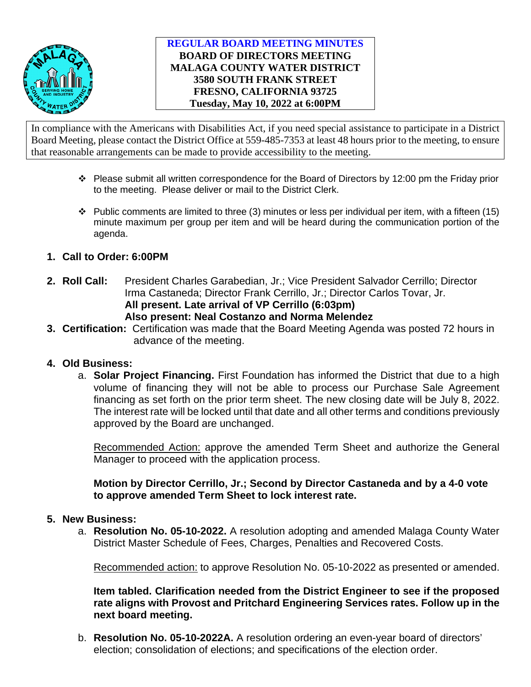

# **REGULAR BOARD MEETING MINUTES BOARD OF DIRECTORS MEETING MALAGA COUNTY WATER DISTRICT 3580 SOUTH FRANK STREET FRESNO, CALIFORNIA 93725 Tuesday, May 10, 2022 at 6:00PM**

In compliance with the Americans with Disabilities Act, if you need special assistance to participate in a District Board Meeting, please contact the District Office at 559-485-7353 at least 48 hours prior to the meeting, to ensure that reasonable arrangements can be made to provide accessibility to the meeting.

- $\cdot \cdot$  Please submit all written correspondence for the Board of Directors by 12:00 pm the Friday prior to the meeting. Please deliver or mail to the District Clerk.
- $\cdot \cdot$  Public comments are limited to three (3) minutes or less per individual per item, with a fifteen (15) minute maximum per group per item and will be heard during the communication portion of the agenda.
- **1. Call to Order: 6:00PM**
- **2. Roll Call:** President Charles Garabedian, Jr.; Vice President Salvador Cerrillo; Director Irma Castaneda; Director Frank Cerrillo, Jr.; Director Carlos Tovar, Jr. **All present. Late arrival of VP Cerrillo (6:03pm) Also present: Neal Costanzo and Norma Melendez**
- **3. Certification:** Certification was made that the Board Meeting Agenda was posted 72 hours in advance of the meeting.

## **4. Old Business:**

a. **Solar Project Financing.** First Foundation has informed the District that due to a high volume of financing they will not be able to process our Purchase Sale Agreement financing as set forth on the prior term sheet. The new closing date will be July 8, 2022. The interest rate will be locked until that date and all other terms and conditions previously approved by the Board are unchanged.

Recommended Action: approve the amended Term Sheet and authorize the General Manager to proceed with the application process.

**Motion by Director Cerrillo, Jr.; Second by Director Castaneda and by a 4-0 vote to approve amended Term Sheet to lock interest rate.** 

## **5. New Business:**

a. **Resolution No. 05-10-2022.** A resolution adopting and amended Malaga County Water District Master Schedule of Fees, Charges, Penalties and Recovered Costs.

Recommended action: to approve Resolution No. 05-10-2022 as presented or amended.

**Item tabled. Clarification needed from the District Engineer to see if the proposed rate aligns with Provost and Pritchard Engineering Services rates. Follow up in the next board meeting.**

b. **Resolution No. 05-10-2022A.** A resolution ordering an even-year board of directors' election; consolidation of elections; and specifications of the election order.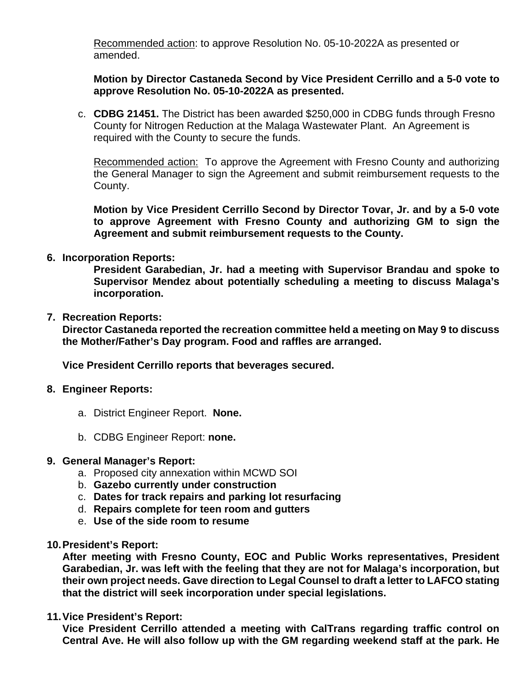Recommended action: to approve Resolution No. 05-10-2022A as presented or amended.

**Motion by Director Castaneda Second by Vice President Cerrillo and a 5-0 vote to approve Resolution No. 05-10-2022A as presented.**

c. **CDBG 21451.** The District has been awarded \$250,000 in CDBG funds through Fresno County for Nitrogen Reduction at the Malaga Wastewater Plant. An Agreement is required with the County to secure the funds.

Recommended action: To approve the Agreement with Fresno County and authorizing the General Manager to sign the Agreement and submit reimbursement requests to the County.

**Motion by Vice President Cerrillo Second by Director Tovar, Jr. and by a 5-0 vote to approve Agreement with Fresno County and authorizing GM to sign the Agreement and submit reimbursement requests to the County.**

**6. Incorporation Reports:**

**President Garabedian, Jr. had a meeting with Supervisor Brandau and spoke to Supervisor Mendez about potentially scheduling a meeting to discuss Malaga's incorporation.** 

**7. Recreation Reports:**

**Director Castaneda reported the recreation committee held a meeting on May 9 to discuss the Mother/Father's Day program. Food and raffles are arranged.** 

**Vice President Cerrillo reports that beverages secured.**

- **8. Engineer Reports:**
	- a. District Engineer Report. **None.**
	- b. CDBG Engineer Report: **none.**
- **9. General Manager's Report:**
	- a. Proposed city annexation within MCWD SOI
	- b. **Gazebo currently under construction**
	- c. **Dates for track repairs and parking lot resurfacing**
	- d. **Repairs complete for teen room and gutters**
	- e. **Use of the side room to resume**
- **10.President's Report:**

**After meeting with Fresno County, EOC and Public Works representatives, President Garabedian, Jr. was left with the feeling that they are not for Malaga's incorporation, but their own project needs. Gave direction to Legal Counsel to draft a letter to LAFCO stating that the district will seek incorporation under special legislations.** 

**11.Vice President's Report:**

**Vice President Cerrillo attended a meeting with CalTrans regarding traffic control on Central Ave. He will also follow up with the GM regarding weekend staff at the park. He**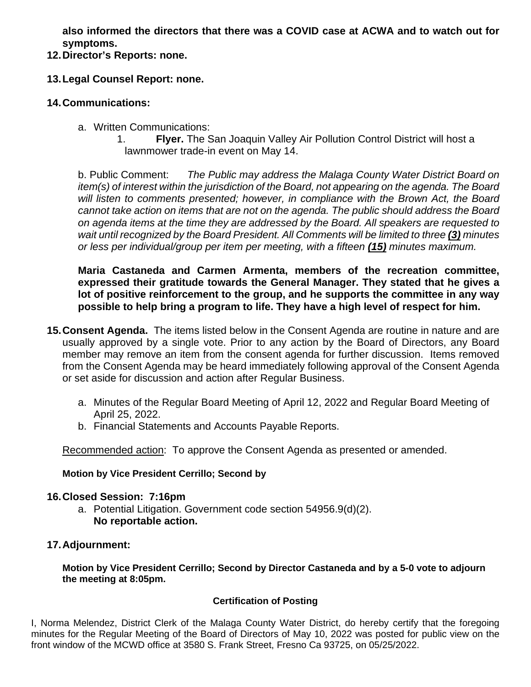**also informed the directors that there was a COVID case at ACWA and to watch out for symptoms.** 

**12.Director's Reports: none.**

# **13.Legal Counsel Report: none.**

#### **14.Communications:**

- a. Written Communications:
	- 1. **Flyer.** The San Joaquin Valley Air Pollution Control District will host a lawnmower trade-in event on May 14.

b. Public Comment: *The Public may address the Malaga County Water District Board on item(s) of interest within the jurisdiction of the Board, not appearing on the agenda. The Board will listen to comments presented; however, in compliance with the Brown Act, the Board cannot take action on items that are not on the agenda. The public should address the Board on agenda items at the time they are addressed by the Board. All speakers are requested to wait until recognized by the Board President. All Comments will be limited to three (3) minutes or less per individual/group per item per meeting, with a fifteen (15) minutes maximum.*

**Maria Castaneda and Carmen Armenta, members of the recreation committee, expressed their gratitude towards the General Manager. They stated that he gives a lot of positive reinforcement to the group, and he supports the committee in any way possible to help bring a program to life. They have a high level of respect for him.** 

- **15.Consent Agenda.** The items listed below in the Consent Agenda are routine in nature and are usually approved by a single vote. Prior to any action by the Board of Directors, any Board member may remove an item from the consent agenda for further discussion. Items removed from the Consent Agenda may be heard immediately following approval of the Consent Agenda or set aside for discussion and action after Regular Business.
	- a. Minutes of the Regular Board Meeting of April 12, 2022 and Regular Board Meeting of April 25, 2022.
	- b. Financial Statements and Accounts Payable Reports.

Recommended action: To approve the Consent Agenda as presented or amended.

## **Motion by Vice President Cerrillo; Second by**

## **16.Closed Session: 7:16pm**

a. Potential Litigation. Government code section 54956.9(d)(2). **No reportable action.**

## **17.Adjournment:**

**Motion by Vice President Cerrillo; Second by Director Castaneda and by a 5-0 vote to adjourn the meeting at 8:05pm.**

## **Certification of Posting**

I, Norma Melendez, District Clerk of the Malaga County Water District, do hereby certify that the foregoing minutes for the Regular Meeting of the Board of Directors of May 10, 2022 was posted for public view on the front window of the MCWD office at 3580 S. Frank Street, Fresno Ca 93725, on 05/25/2022.